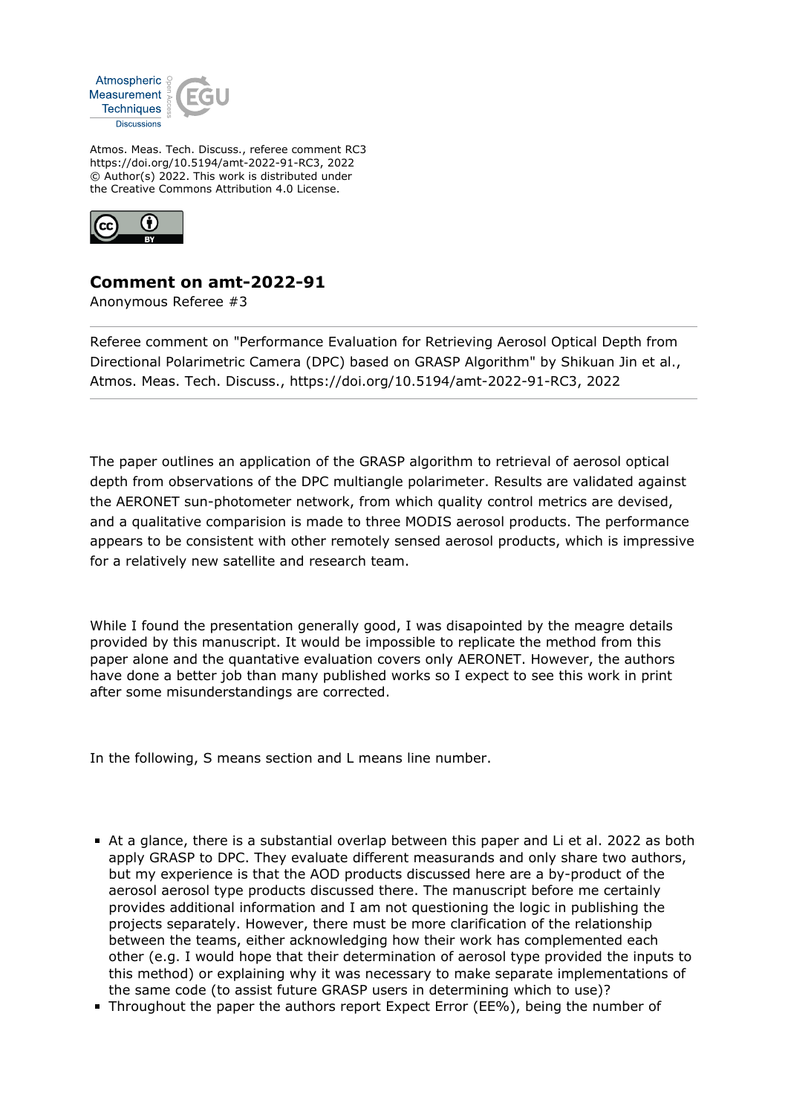

Atmos. Meas. Tech. Discuss., referee comment RC3 https://doi.org/10.5194/amt-2022-91-RC3, 2022 © Author(s) 2022. This work is distributed under the Creative Commons Attribution 4.0 License.



## **Comment on amt-2022-91**

Anonymous Referee #3

Referee comment on "Performance Evaluation for Retrieving Aerosol Optical Depth from Directional Polarimetric Camera (DPC) based on GRASP Algorithm" by Shikuan Jin et al., Atmos. Meas. Tech. Discuss., https://doi.org/10.5194/amt-2022-91-RC3, 2022

The paper outlines an application of the GRASP algorithm to retrieval of aerosol optical depth from observations of the DPC multiangle polarimeter. Results are validated against the AERONET sun-photometer network, from which quality control metrics are devised, and a qualitative comparision is made to three MODIS aerosol products. The performance appears to be consistent with other remotely sensed aerosol products, which is impressive for a relatively new satellite and research team.

While I found the presentation generally good, I was disapointed by the meagre details provided by this manuscript. It would be impossible to replicate the method from this paper alone and the quantative evaluation covers only AERONET. However, the authors have done a better job than many published works so I expect to see this work in print after some misunderstandings are corrected.

In the following, S means section and L means line number.

- At a glance, there is a substantial overlap between this paper and Li et al. 2022 as both apply GRASP to DPC. They evaluate different measurands and only share two authors, but my experience is that the AOD products discussed here are a by-product of the aerosol aerosol type products discussed there. The manuscript before me certainly provides additional information and I am not questioning the logic in publishing the projects separately. However, there must be more clarification of the relationship between the teams, either acknowledging how their work has complemented each other (e.g. I would hope that their determination of aerosol type provided the inputs to this method) or explaining why it was necessary to make separate implementations of the same code (to assist future GRASP users in determining which to use)?
- Throughout the paper the authors report Expect Error (EE%), being the number of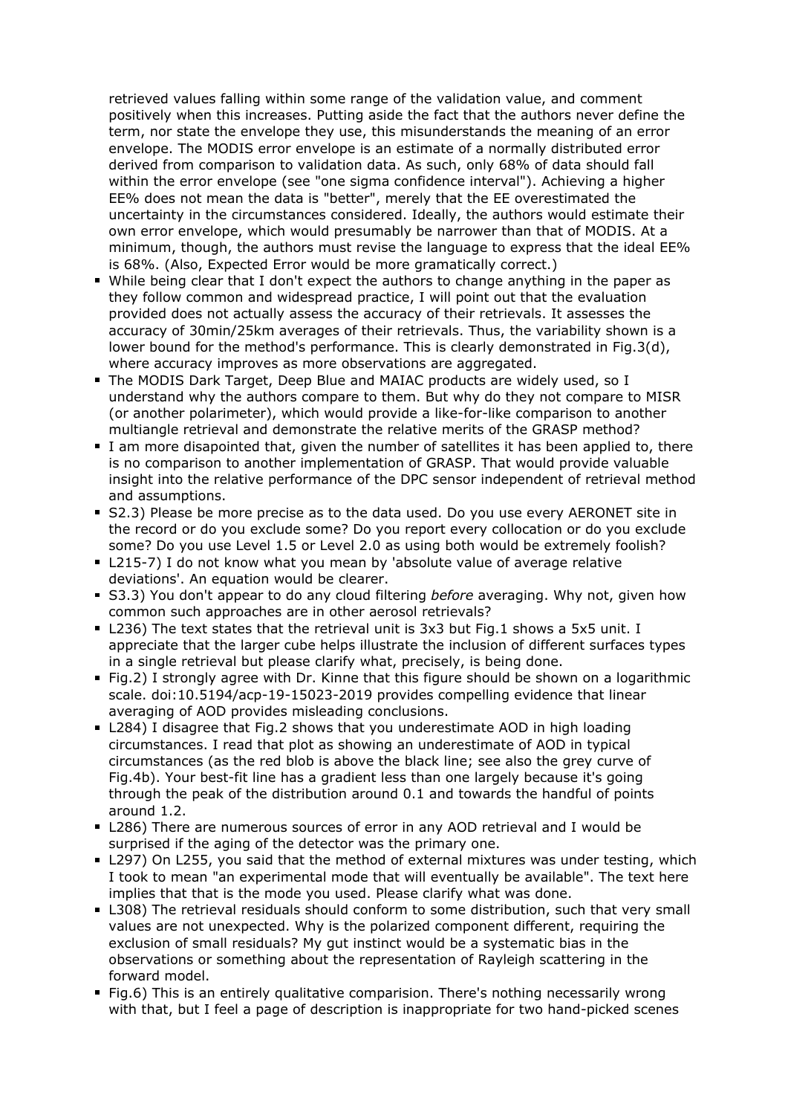retrieved values falling within some range of the validation value, and comment positively when this increases. Putting aside the fact that the authors never define the term, nor state the envelope they use, this misunderstands the meaning of an error envelope. The MODIS error envelope is an estimate of a normally distributed error derived from comparison to validation data. As such, only 68% of data should fall within the error envelope (see "one sigma confidence interval"). Achieving a higher EE% does not mean the data is "better", merely that the EE overestimated the uncertainty in the circumstances considered. Ideally, the authors would estimate their own error envelope, which would presumably be narrower than that of MODIS. At a minimum, though, the authors must revise the language to express that the ideal EE% is 68%. (Also, Expected Error would be more gramatically correct.)

- While being clear that I don't expect the authors to change anything in the paper as they follow common and widespread practice, I will point out that the evaluation provided does not actually assess the accuracy of their retrievals. It assesses the accuracy of 30min/25km averages of their retrievals. Thus, the variability shown is a lower bound for the method's performance. This is clearly demonstrated in Fig.3(d), where accuracy improves as more observations are aggregated.
- The MODIS Dark Target, Deep Blue and MAIAC products are widely used, so I understand why the authors compare to them. But why do they not compare to MISR (or another polarimeter), which would provide a like-for-like comparison to another multiangle retrieval and demonstrate the relative merits of the GRASP method?
- I am more disapointed that, given the number of satellites it has been applied to, there is no comparison to another implementation of GRASP. That would provide valuable insight into the relative performance of the DPC sensor independent of retrieval method and assumptions.
- S2.3) Please be more precise as to the data used. Do you use every AERONET site in the record or do you exclude some? Do you report every collocation or do you exclude some? Do you use Level 1.5 or Level 2.0 as using both would be extremely foolish?
- L215-7) I do not know what you mean by 'absolute value of average relative deviations'. An equation would be clearer.
- S3.3) You don't appear to do any cloud filtering *before* averaging. Why not, given how common such approaches are in other aerosol retrievals?
- L236) The text states that the retrieval unit is 3x3 but Fig.1 shows a 5x5 unit. I appreciate that the larger cube helps illustrate the inclusion of different surfaces types in a single retrieval but please clarify what, precisely, is being done.
- Fig.2) I strongly agree with Dr. Kinne that this figure should be shown on a logarithmic scale. doi:10.5194/acp-19-15023-2019 provides compelling evidence that linear averaging of AOD provides misleading conclusions.
- L284) I disagree that Fig.2 shows that you underestimate AOD in high loading circumstances. I read that plot as showing an underestimate of AOD in typical circumstances (as the red blob is above the black line; see also the grey curve of Fig.4b). Your best-fit line has a gradient less than one largely because it's going through the peak of the distribution around 0.1 and towards the handful of points around 1.2.
- L286) There are numerous sources of error in any AOD retrieval and I would be surprised if the aging of the detector was the primary one.
- L297) On L255, you said that the method of external mixtures was under testing, which I took to mean "an experimental mode that will eventually be available". The text here implies that that is the mode you used. Please clarify what was done.
- L308) The retrieval residuals should conform to some distribution, such that very small values are not unexpected. Why is the polarized component different, requiring the exclusion of small residuals? My gut instinct would be a systematic bias in the observations or something about the representation of Rayleigh scattering in the forward model.
- Fig.6) This is an entirely qualitative comparision. There's nothing necessarily wrong with that, but I feel a page of description is inappropriate for two hand-picked scenes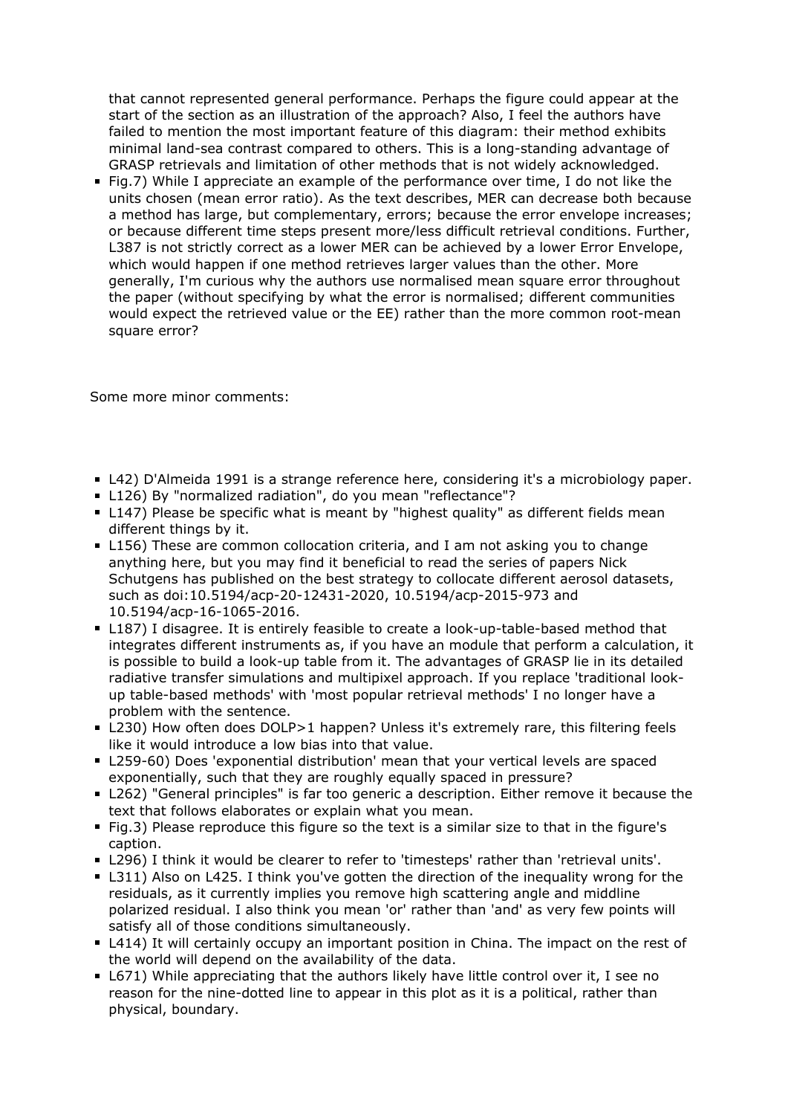that cannot represented general performance. Perhaps the figure could appear at the start of the section as an illustration of the approach? Also, I feel the authors have failed to mention the most important feature of this diagram: their method exhibits minimal land-sea contrast compared to others. This is a long-standing advantage of GRASP retrievals and limitation of other methods that is not widely acknowledged.

Fig.7) While I appreciate an example of the performance over time, I do not like the units chosen (mean error ratio). As the text describes, MER can decrease both because a method has large, but complementary, errors; because the error envelope increases; or because different time steps present more/less difficult retrieval conditions. Further, L387 is not strictly correct as a lower MER can be achieved by a lower Error Envelope, which would happen if one method retrieves larger values than the other. More generally, I'm curious why the authors use normalised mean square error throughout the paper (without specifying by what the error is normalised; different communities would expect the retrieved value or the EE) rather than the more common root-mean square error?

Some more minor comments:

- L42) D'Almeida 1991 is a strange reference here, considering it's a microbiology paper.
- L126) By "normalized radiation", do you mean "reflectance"?
- L147) Please be specific what is meant by "highest quality" as different fields mean different things by it.
- L156) These are common collocation criteria, and I am not asking you to change anything here, but you may find it beneficial to read the series of papers Nick Schutgens has published on the best strategy to collocate different aerosol datasets, such as doi:10.5194/acp-20-12431-2020, 10.5194/acp-2015-973 and 10.5194/acp-16-1065-2016.
- L187) I disagree. It is entirely feasible to create a look-up-table-based method that integrates different instruments as, if you have an module that perform a calculation, it is possible to build a look-up table from it. The advantages of GRASP lie in its detailed radiative transfer simulations and multipixel approach. If you replace 'traditional lookup table-based methods' with 'most popular retrieval methods' I no longer have a problem with the sentence.
- L230) How often does DOLP>1 happen? Unless it's extremely rare, this filtering feels like it would introduce a low bias into that value.
- L259-60) Does 'exponential distribution' mean that your vertical levels are spaced exponentially, such that they are roughly equally spaced in pressure?
- L262) "General principles" is far too generic a description. Either remove it because the text that follows elaborates or explain what you mean.
- Fig.3) Please reproduce this figure so the text is a similar size to that in the figure's caption.
- L296) I think it would be clearer to refer to 'timesteps' rather than 'retrieval units'.
- L311) Also on L425. I think you've gotten the direction of the inequality wrong for the residuals, as it currently implies you remove high scattering angle and middline polarized residual. I also think you mean 'or' rather than 'and' as very few points will satisfy all of those conditions simultaneously.
- L414) It will certainly occupy an important position in China. The impact on the rest of the world will depend on the availability of the data.
- L671) While appreciating that the authors likely have little control over it, I see no reason for the nine-dotted line to appear in this plot as it is a political, rather than physical, boundary.